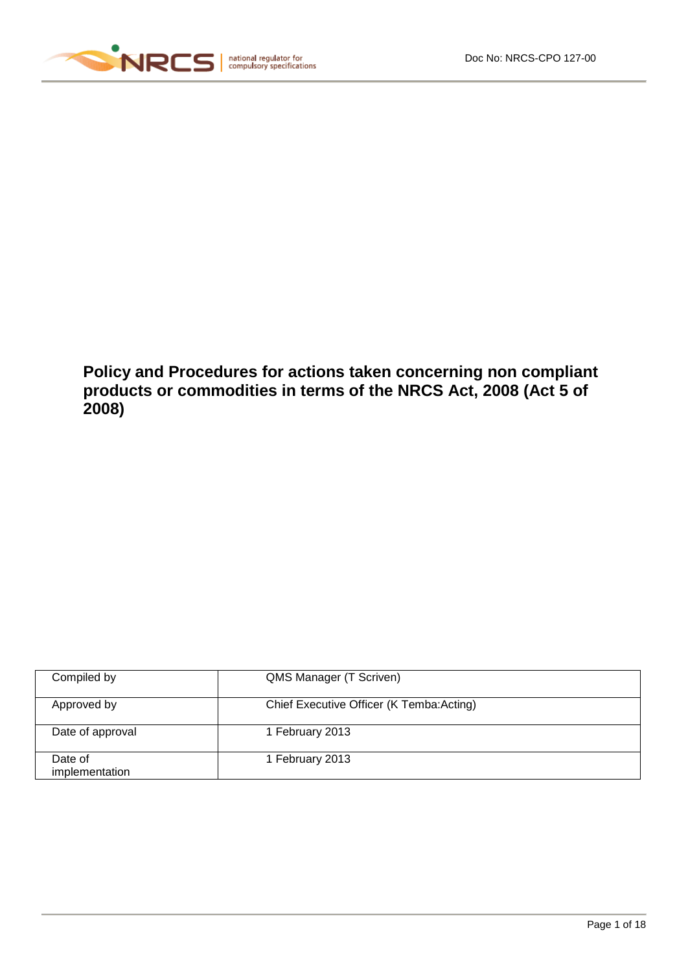

**Policy and Procedures for actions taken concerning non compliant products or commodities in terms of the NRCS Act, 2008 (Act 5 of 2008)**

| Compiled by               | QMS Manager (T Scriven)                  |
|---------------------------|------------------------------------------|
| Approved by               | Chief Executive Officer (K Temba:Acting) |
| Date of approval          | 1 February 2013                          |
| Date of<br>implementation | 1 February 2013                          |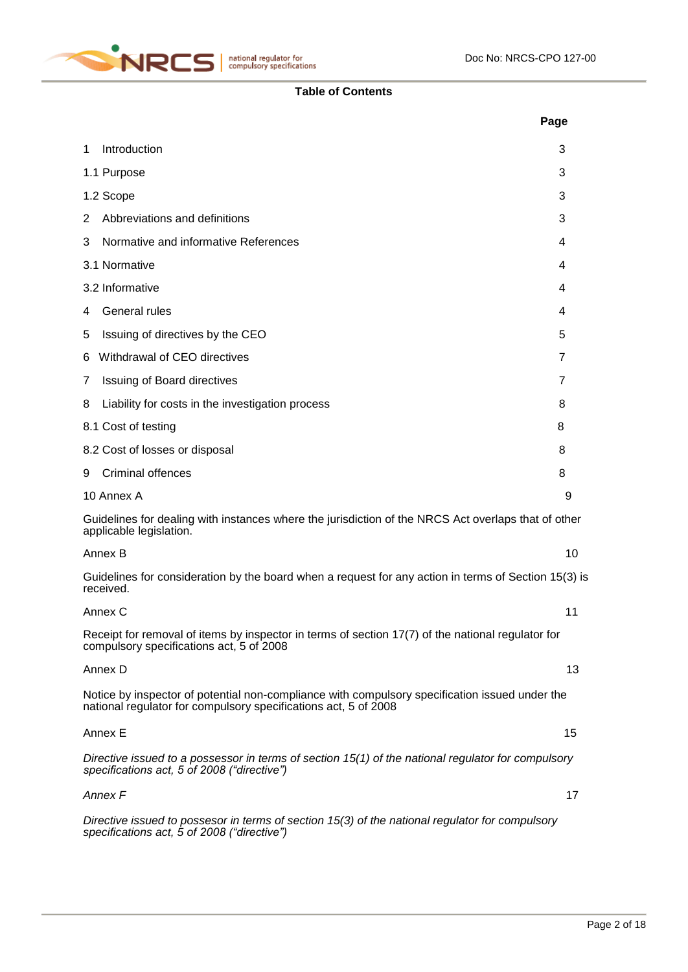

# **Table of Contents**

|                                                                                                                                                                   | Page |
|-------------------------------------------------------------------------------------------------------------------------------------------------------------------|------|
| Introduction<br>1                                                                                                                                                 | 3    |
| 1.1 Purpose                                                                                                                                                       | 3    |
| 1.2 Scope                                                                                                                                                         | 3    |
| Abbreviations and definitions<br>2                                                                                                                                | 3    |
| Normative and informative References<br>3                                                                                                                         | 4    |
| 3.1 Normative                                                                                                                                                     | 4    |
| 3.2 Informative                                                                                                                                                   | 4    |
| General rules<br>4                                                                                                                                                | 4    |
| Issuing of directives by the CEO<br>5                                                                                                                             | 5    |
| Withdrawal of CEO directives<br>6                                                                                                                                 | 7    |
| <b>Issuing of Board directives</b><br>7                                                                                                                           | 7    |
| Liability for costs in the investigation process<br>8                                                                                                             | 8    |
| 8.1 Cost of testing                                                                                                                                               | 8    |
| 8.2 Cost of losses or disposal                                                                                                                                    | 8    |
| Criminal offences<br>9                                                                                                                                            | 8    |
| 10 Annex A                                                                                                                                                        | 9    |
| Guidelines for dealing with instances where the jurisdiction of the NRCS Act overlaps that of other<br>applicable legislation.                                    |      |
| Annex B                                                                                                                                                           | 10   |
| Guidelines for consideration by the board when a request for any action in terms of Section 15(3) is<br>received.                                                 |      |
| Annex C                                                                                                                                                           | 11   |
| Receipt for removal of items by inspector in terms of section 17(7) of the national regulator for<br>compulsory specifications act, 5 of 2008                     |      |
| Annex D                                                                                                                                                           | 13   |
| Notice by inspector of potential non-compliance with compulsory specification issued under the<br>national regulator for compulsory specifications act, 5 of 2008 |      |
| Annex E                                                                                                                                                           | 15   |
| Directive issued to a possessor in terms of section 15(1) of the national regulator for compulsory<br>specifications act, 5 of 2008 ("directive")                 |      |
| Annex F                                                                                                                                                           | 17   |
| Directive issued to possesor in terms of section 15(3) of the national regulator for compulsory<br>specifications act, 5 of 2008 ("directive")                    |      |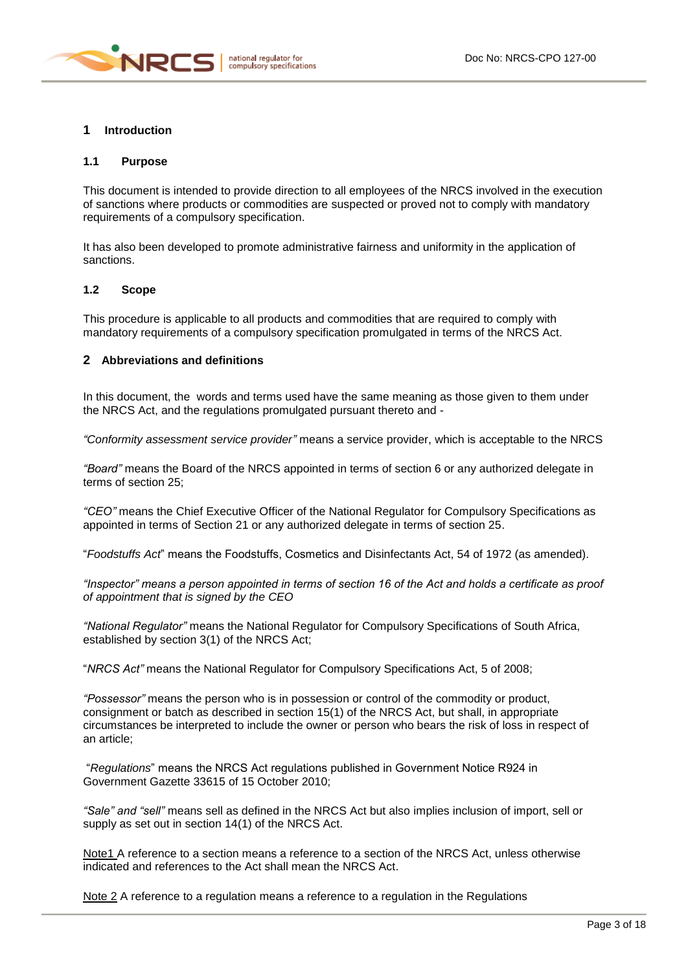

### **1 Introduction**

### **1.1 Purpose**

This document is intended to provide direction to all employees of the NRCS involved in the execution of sanctions where products or commodities are suspected or proved not to comply with mandatory requirements of a compulsory specification.

It has also been developed to promote administrative fairness and uniformity in the application of sanctions.

#### **1.2 Scope**

This procedure is applicable to all products and commodities that are required to comply with mandatory requirements of a compulsory specification promulgated in terms of the NRCS Act.

## **2 Abbreviations and definitions**

In this document, the words and terms used have the same meaning as those given to them under the NRCS Act, and the regulations promulgated pursuant thereto and -

*"Conformity assessment service provider"* means a service provider, which is acceptable to the NRCS

*"Board"* means the Board of the NRCS appointed in terms of section 6 or any authorized delegate in terms of section 25;

*"CEO"* means the Chief Executive Officer of the National Regulator for Compulsory Specifications as appointed in terms of Section 21 or any authorized delegate in terms of section 25.

"*Foodstuffs Act*" means the Foodstuffs, Cosmetics and Disinfectants Act, 54 of 1972 (as amended).

*"Inspector" means a person appointed in terms of section 16 of the Act and holds a certificate as proof of appointment that is signed by the CEO*

*"National Regulator"* means the National Regulator for Compulsory Specifications of South Africa, established by section 3(1) of the NRCS Act;

"*NRCS Act"* means the National Regulator for Compulsory Specifications Act, 5 of 2008;

*"Possessor"* means the person who is in possession or control of the commodity or product, consignment or batch as described in section 15(1) of the NRCS Act, but shall, in appropriate circumstances be interpreted to include the owner or person who bears the risk of loss in respect of an article;

"*Regulations*" means the NRCS Act regulations published in Government Notice R924 in Government Gazette 33615 of 15 October 2010;

*"Sale" and "sell"* means sell as defined in the NRCS Act but also implies inclusion of import, sell or supply as set out in section 14(1) of the NRCS Act.

Note1 A reference to a section means a reference to a section of the NRCS Act, unless otherwise indicated and references to the Act shall mean the NRCS Act.

Note 2 A reference to a regulation means a reference to a regulation in the Regulations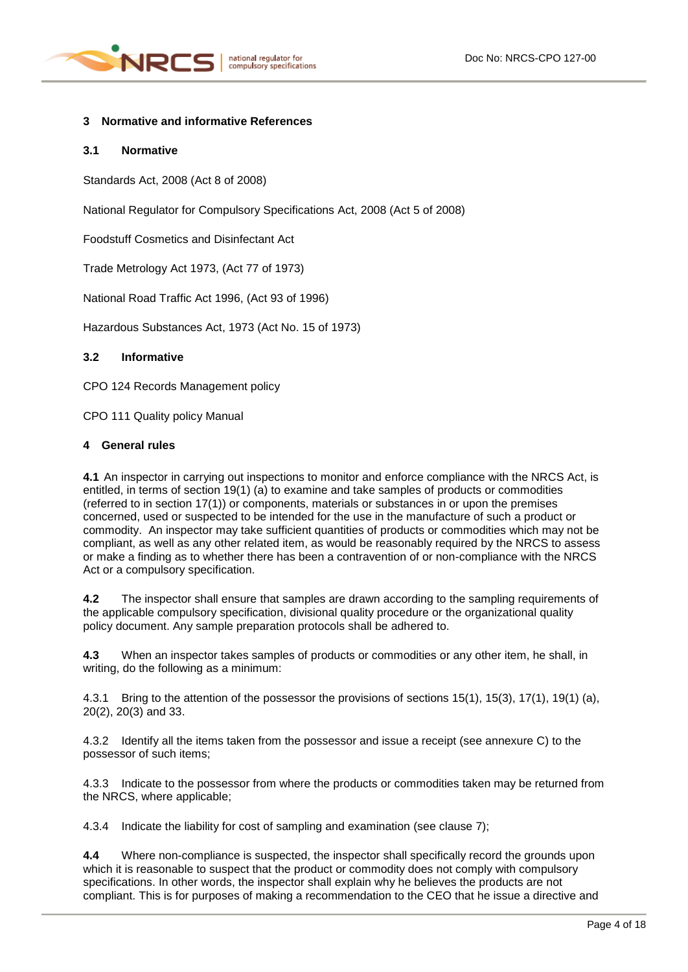

## **3 Normative and informative References**

#### **3.1 Normative**

Standards Act, 2008 (Act 8 of 2008)

National Regulator for Compulsory Specifications Act, 2008 (Act 5 of 2008)

Foodstuff Cosmetics and Disinfectant Act

Trade Metrology Act 1973, (Act 77 of 1973)

National Road Traffic Act 1996, (Act 93 of 1996)

Hazardous Substances Act, 1973 (Act No. 15 of 1973)

#### **3.2 Informative**

CPO 124 Records Management policy

CPO 111 Quality policy Manual

#### **4 General rules**

**4.1** An inspector in carrying out inspections to monitor and enforce compliance with the NRCS Act, is entitled, in terms of section 19(1) (a) to examine and take samples of products or commodities (referred to in section 17(1)) or components, materials or substances in or upon the premises concerned, used or suspected to be intended for the use in the manufacture of such a product or commodity. An inspector may take sufficient quantities of products or commodities which may not be compliant, as well as any other related item, as would be reasonably required by the NRCS to assess or make a finding as to whether there has been a contravention of or non-compliance with the NRCS Act or a compulsory specification.

**4.2** The inspector shall ensure that samples are drawn according to the sampling requirements of the applicable compulsory specification, divisional quality procedure or the organizational quality policy document. Any sample preparation protocols shall be adhered to.

**4.3** When an inspector takes samples of products or commodities or any other item, he shall, in writing, do the following as a minimum:

4.3.1 Bring to the attention of the possessor the provisions of sections 15(1), 15(3), 17(1), 19(1) (a), 20(2), 20(3) and 33.

4.3.2 Identify all the items taken from the possessor and issue a receipt (see annexure C) to the possessor of such items;

4.3.3 Indicate to the possessor from where the products or commodities taken may be returned from the NRCS, where applicable;

4.3.4 Indicate the liability for cost of sampling and examination (see clause 7);

**4.4** Where non-compliance is suspected, the inspector shall specifically record the grounds upon which it is reasonable to suspect that the product or commodity does not comply with compulsory specifications. In other words, the inspector shall explain why he believes the products are not compliant. This is for purposes of making a recommendation to the CEO that he issue a directive and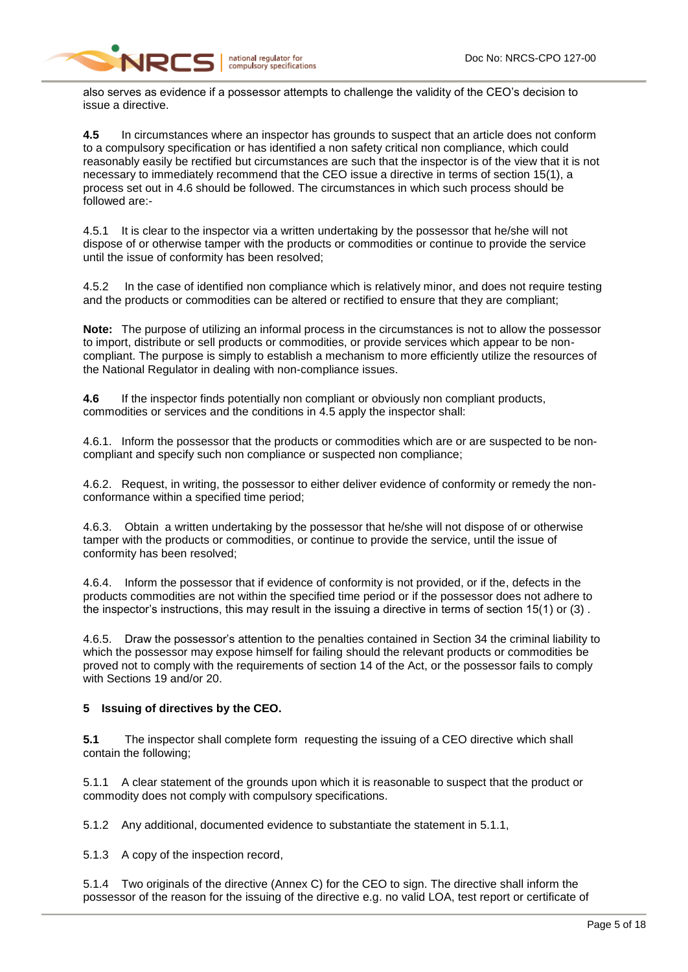

also serves as evidence if a possessor attempts to challenge the validity of the CEO's decision to issue a directive.

**4.5** In circumstances where an inspector has grounds to suspect that an article does not conform to a compulsory specification or has identified a non safety critical non compliance, which could reasonably easily be rectified but circumstances are such that the inspector is of the view that it is not necessary to immediately recommend that the CEO issue a directive in terms of section 15(1), a process set out in 4.6 should be followed. The circumstances in which such process should be followed are:-

4.5.1 It is clear to the inspector via a written undertaking by the possessor that he/she will not dispose of or otherwise tamper with the products or commodities or continue to provide the service until the issue of conformity has been resolved;

4.5.2 In the case of identified non compliance which is relatively minor, and does not require testing and the products or commodities can be altered or rectified to ensure that they are compliant;

**Note:** The purpose of utilizing an informal process in the circumstances is not to allow the possessor to import, distribute or sell products or commodities, or provide services which appear to be noncompliant. The purpose is simply to establish a mechanism to more efficiently utilize the resources of the National Regulator in dealing with non-compliance issues.

**4.6** If the inspector finds potentially non compliant or obviously non compliant products, commodities or services and the conditions in 4.5 apply the inspector shall:

4.6.1. Inform the possessor that the products or commodities which are or are suspected to be noncompliant and specify such non compliance or suspected non compliance;

4.6.2. Request, in writing, the possessor to either deliver evidence of conformity or remedy the nonconformance within a specified time period;

4.6.3. Obtain a written undertaking by the possessor that he/she will not dispose of or otherwise tamper with the products or commodities, or continue to provide the service, until the issue of conformity has been resolved;

4.6.4. Inform the possessor that if evidence of conformity is not provided, or if the, defects in the products commodities are not within the specified time period or if the possessor does not adhere to the inspector's instructions, this may result in the issuing a directive in terms of section 15(1) or (3) .

4.6.5. Draw the possessor's attention to the penalties contained in Section 34 the criminal liability to which the possessor may expose himself for failing should the relevant products or commodities be proved not to comply with the requirements of section 14 of the Act, or the possessor fails to comply with Sections 19 and/or 20.

# **5 Issuing of directives by the CEO.**

**5.1** The inspector shall complete form requesting the issuing of a CEO directive which shall contain the following;

5.1.1 A clear statement of the grounds upon which it is reasonable to suspect that the product or commodity does not comply with compulsory specifications.

5.1.2 Any additional, documented evidence to substantiate the statement in 5.1.1,

5.1.3 A copy of the inspection record,

5.1.4 Two originals of the directive (Annex C) for the CEO to sign. The directive shall inform the possessor of the reason for the issuing of the directive e.g. no valid LOA, test report or certificate of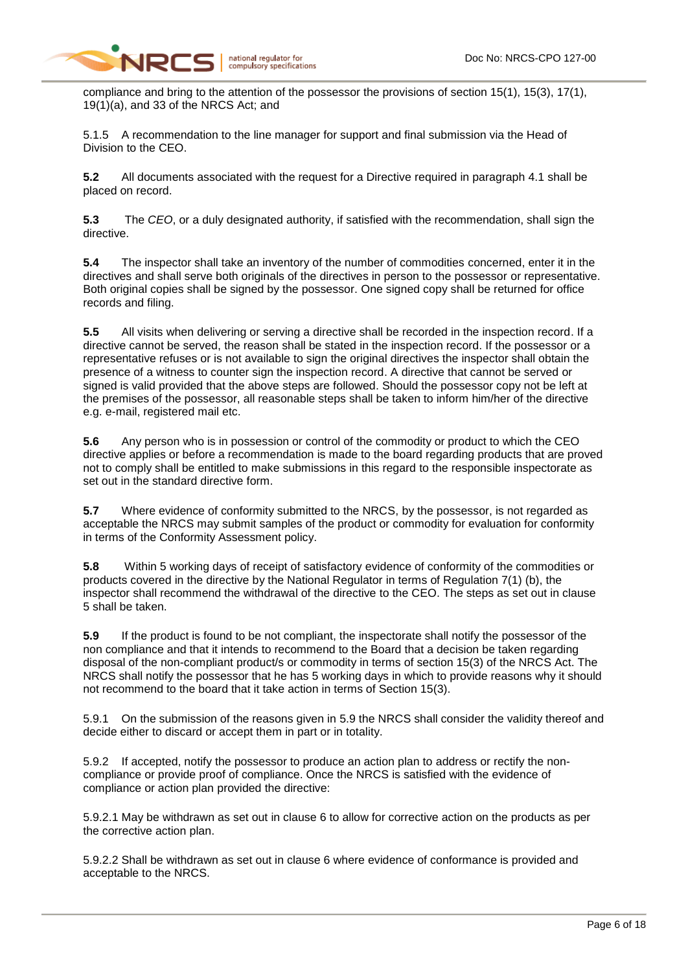compliance and bring to the attention of the possessor the provisions of section 15(1), 15(3), 17(1), 19(1)(a), and 33 of the NRCS Act; and

5.1.5 A recommendation to the line manager for support and final submission via the Head of Division to the CEO.

**5.2** All documents associated with the request for a Directive required in paragraph 4.1 shall be placed on record.

**5.3** The *CEO*, or a duly designated authority, if satisfied with the recommendation, shall sign the directive.

**5.4** The inspector shall take an inventory of the number of commodities concerned, enter it in the directives and shall serve both originals of the directives in person to the possessor or representative. Both original copies shall be signed by the possessor. One signed copy shall be returned for office records and filing.

**5.5** All visits when delivering or serving a directive shall be recorded in the inspection record. If a directive cannot be served, the reason shall be stated in the inspection record. If the possessor or a representative refuses or is not available to sign the original directives the inspector shall obtain the presence of a witness to counter sign the inspection record. A directive that cannot be served or signed is valid provided that the above steps are followed. Should the possessor copy not be left at the premises of the possessor, all reasonable steps shall be taken to inform him/her of the directive e.g. e-mail, registered mail etc.

**5.6** Any person who is in possession or control of the commodity or product to which the CEO directive applies or before a recommendation is made to the board regarding products that are proved not to comply shall be entitled to make submissions in this regard to the responsible inspectorate as set out in the standard directive form.

**5.7** Where evidence of conformity submitted to the NRCS, by the possessor, is not regarded as acceptable the NRCS may submit samples of the product or commodity for evaluation for conformity in terms of the Conformity Assessment policy.

**5.8** Within 5 working days of receipt of satisfactory evidence of conformity of the commodities or products covered in the directive by the National Regulator in terms of Regulation 7(1) (b), the inspector shall recommend the withdrawal of the directive to the CEO. The steps as set out in clause 5 shall be taken.

**5.9** If the product is found to be not compliant, the inspectorate shall notify the possessor of the non compliance and that it intends to recommend to the Board that a decision be taken regarding disposal of the non-compliant product/s or commodity in terms of section 15(3) of the NRCS Act. The NRCS shall notify the possessor that he has 5 working days in which to provide reasons why it should not recommend to the board that it take action in terms of Section 15(3).

5.9.1 On the submission of the reasons given in 5.9 the NRCS shall consider the validity thereof and decide either to discard or accept them in part or in totality.

5.9.2 If accepted, notify the possessor to produce an action plan to address or rectify the noncompliance or provide proof of compliance. Once the NRCS is satisfied with the evidence of compliance or action plan provided the directive:

5.9.2.1 May be withdrawn as set out in clause 6 to allow for corrective action on the products as per the corrective action plan.

5.9.2.2 Shall be withdrawn as set out in clause 6 where evidence of conformance is provided and acceptable to the NRCS.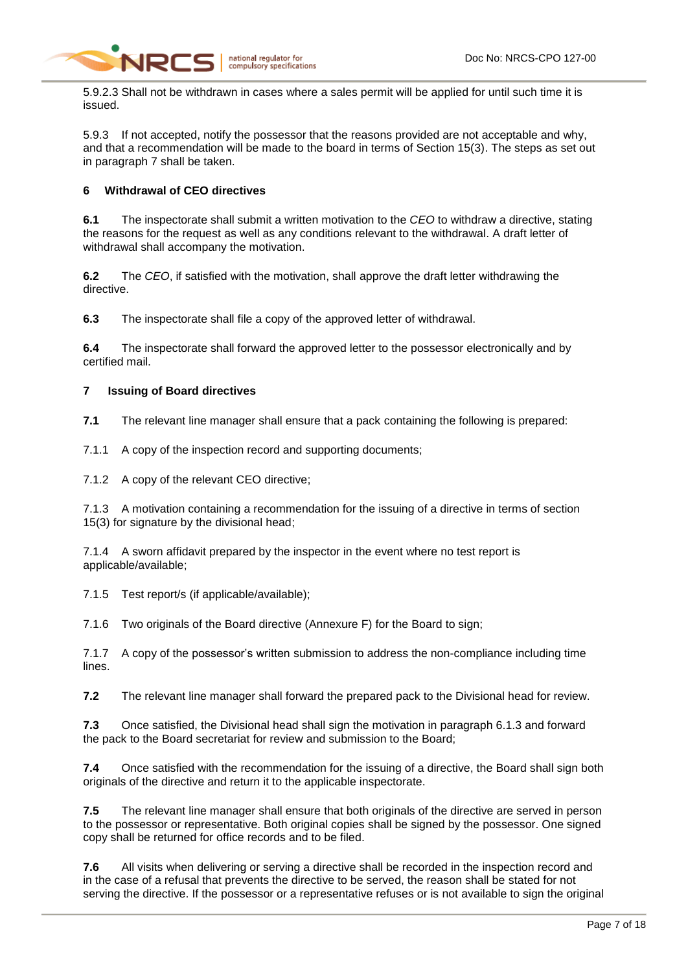

5.9.2.3 Shall not be withdrawn in cases where a sales permit will be applied for until such time it is issued.

5.9.3 If not accepted, notify the possessor that the reasons provided are not acceptable and why, and that a recommendation will be made to the board in terms of Section 15(3). The steps as set out in paragraph 7 shall be taken.

# **6 Withdrawal of CEO directives**

**6.1** The inspectorate shall submit a written motivation to the *CEO* to withdraw a directive, stating the reasons for the request as well as any conditions relevant to the withdrawal. A draft letter of withdrawal shall accompany the motivation.

**6.2** The *CEO*, if satisfied with the motivation, shall approve the draft letter withdrawing the directive.

**6.3** The inspectorate shall file a copy of the approved letter of withdrawal.

**6.4** The inspectorate shall forward the approved letter to the possessor electronically and by certified mail.

### **7 Issuing of Board directives**

**7.1** The relevant line manager shall ensure that a pack containing the following is prepared:

7.1.1 A copy of the inspection record and supporting documents;

7.1.2 A copy of the relevant CEO directive;

7.1.3 A motivation containing a recommendation for the issuing of a directive in terms of section 15(3) for signature by the divisional head;

7.1.4 A sworn affidavit prepared by the inspector in the event where no test report is applicable/available;

7.1.5 Test report/s (if applicable/available);

7.1.6 Two originals of the Board directive (Annexure F) for the Board to sign;

7.1.7 A copy of the possessor's written submission to address the non-compliance including time lines.

**7.2** The relevant line manager shall forward the prepared pack to the Divisional head for review.

**7.3** Once satisfied, the Divisional head shall sign the motivation in paragraph 6.1.3 and forward the pack to the Board secretariat for review and submission to the Board;

**7.4** Once satisfied with the recommendation for the issuing of a directive, the Board shall sign both originals of the directive and return it to the applicable inspectorate.

**7.5** The relevant line manager shall ensure that both originals of the directive are served in person to the possessor or representative. Both original copies shall be signed by the possessor. One signed copy shall be returned for office records and to be filed.

**7.6** All visits when delivering or serving a directive shall be recorded in the inspection record and in the case of a refusal that prevents the directive to be served, the reason shall be stated for not serving the directive. If the possessor or a representative refuses or is not available to sign the original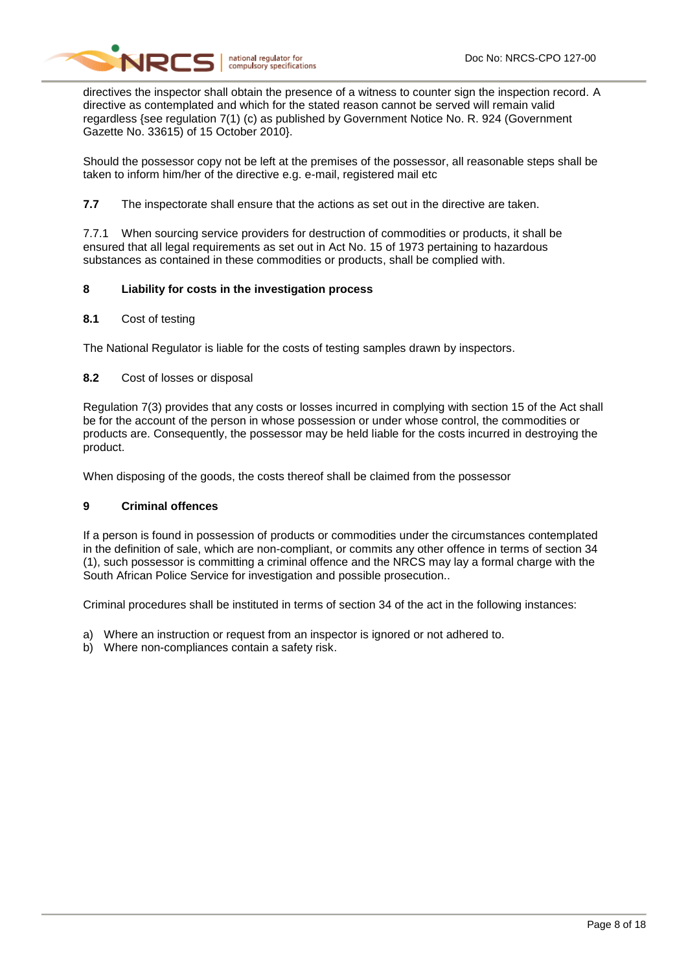

directives the inspector shall obtain the presence of a witness to counter sign the inspection record. A directive as contemplated and which for the stated reason cannot be served will remain valid regardless {see regulation 7(1) (c) as published by Government Notice No. R. 924 (Government Gazette No. 33615) of 15 October 2010}.

Should the possessor copy not be left at the premises of the possessor, all reasonable steps shall be taken to inform him/her of the directive e.g. e-mail, registered mail etc

**7.7** The inspectorate shall ensure that the actions as set out in the directive are taken.

7.7.1 When sourcing service providers for destruction of commodities or products, it shall be ensured that all legal requirements as set out in Act No. 15 of 1973 pertaining to hazardous substances as contained in these commodities or products, shall be complied with.

### **8 Liability for costs in the investigation process**

#### **8.1** Cost of testing

The National Regulator is liable for the costs of testing samples drawn by inspectors.

### **8.2** Cost of losses or disposal

Regulation 7(3) provides that any costs or losses incurred in complying with section 15 of the Act shall be for the account of the person in whose possession or under whose control, the commodities or products are. Consequently, the possessor may be held liable for the costs incurred in destroying the product.

When disposing of the goods, the costs thereof shall be claimed from the possessor

# **9 Criminal offences**

If a person is found in possession of products or commodities under the circumstances contemplated in the definition of sale, which are non-compliant, or commits any other offence in terms of section 34 (1), such possessor is committing a criminal offence and the NRCS may lay a formal charge with the South African Police Service for investigation and possible prosecution..

Criminal procedures shall be instituted in terms of section 34 of the act in the following instances:

- a) Where an instruction or request from an inspector is ignored or not adhered to.
- b) Where non-compliances contain a safety risk.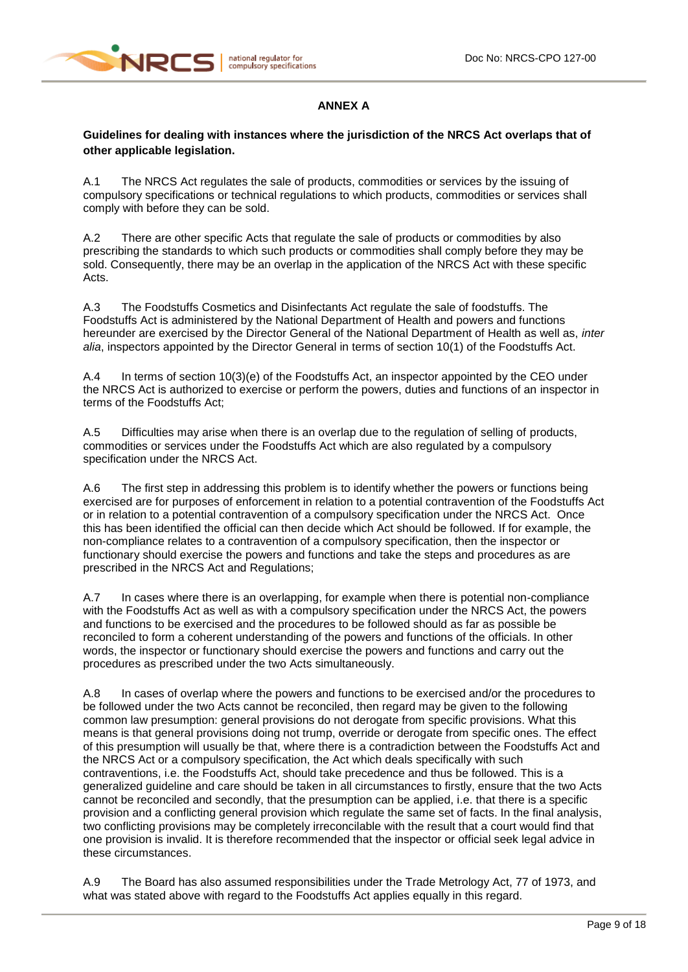

# **ANNEX A**

# **Guidelines for dealing with instances where the jurisdiction of the NRCS Act overlaps that of other applicable legislation.**

A.1 The NRCS Act regulates the sale of products, commodities or services by the issuing of compulsory specifications or technical regulations to which products, commodities or services shall comply with before they can be sold.

A.2 There are other specific Acts that regulate the sale of products or commodities by also prescribing the standards to which such products or commodities shall comply before they may be sold. Consequently, there may be an overlap in the application of the NRCS Act with these specific Acts.

A.3 The Foodstuffs Cosmetics and Disinfectants Act regulate the sale of foodstuffs. The Foodstuffs Act is administered by the National Department of Health and powers and functions hereunder are exercised by the Director General of the National Department of Health as well as, *inter alia*, inspectors appointed by the Director General in terms of section 10(1) of the Foodstuffs Act.

A.4 In terms of section 10(3)(e) of the Foodstuffs Act, an inspector appointed by the CEO under the NRCS Act is authorized to exercise or perform the powers, duties and functions of an inspector in terms of the Foodstuffs Act;

A.5 Difficulties may arise when there is an overlap due to the regulation of selling of products, commodities or services under the Foodstuffs Act which are also regulated by a compulsory specification under the NRCS Act.

A.6 The first step in addressing this problem is to identify whether the powers or functions being exercised are for purposes of enforcement in relation to a potential contravention of the Foodstuffs Act or in relation to a potential contravention of a compulsory specification under the NRCS Act. Once this has been identified the official can then decide which Act should be followed. If for example, the non-compliance relates to a contravention of a compulsory specification, then the inspector or functionary should exercise the powers and functions and take the steps and procedures as are prescribed in the NRCS Act and Regulations;

A.7 In cases where there is an overlapping, for example when there is potential non-compliance with the Foodstuffs Act as well as with a compulsory specification under the NRCS Act, the powers and functions to be exercised and the procedures to be followed should as far as possible be reconciled to form a coherent understanding of the powers and functions of the officials. In other words, the inspector or functionary should exercise the powers and functions and carry out the procedures as prescribed under the two Acts simultaneously.

A.8 In cases of overlap where the powers and functions to be exercised and/or the procedures to be followed under the two Acts cannot be reconciled, then regard may be given to the following common law presumption: general provisions do not derogate from specific provisions. What this means is that general provisions doing not trump, override or derogate from specific ones. The effect of this presumption will usually be that, where there is a contradiction between the Foodstuffs Act and the NRCS Act or a compulsory specification, the Act which deals specifically with such contraventions, i.e. the Foodstuffs Act, should take precedence and thus be followed. This is a generalized guideline and care should be taken in all circumstances to firstly, ensure that the two Acts cannot be reconciled and secondly, that the presumption can be applied, i.e. that there is a specific provision and a conflicting general provision which regulate the same set of facts. In the final analysis, two conflicting provisions may be completely irreconcilable with the result that a court would find that one provision is invalid. It is therefore recommended that the inspector or official seek legal advice in these circumstances.

A.9 The Board has also assumed responsibilities under the Trade Metrology Act, 77 of 1973, and what was stated above with regard to the Foodstuffs Act applies equally in this regard.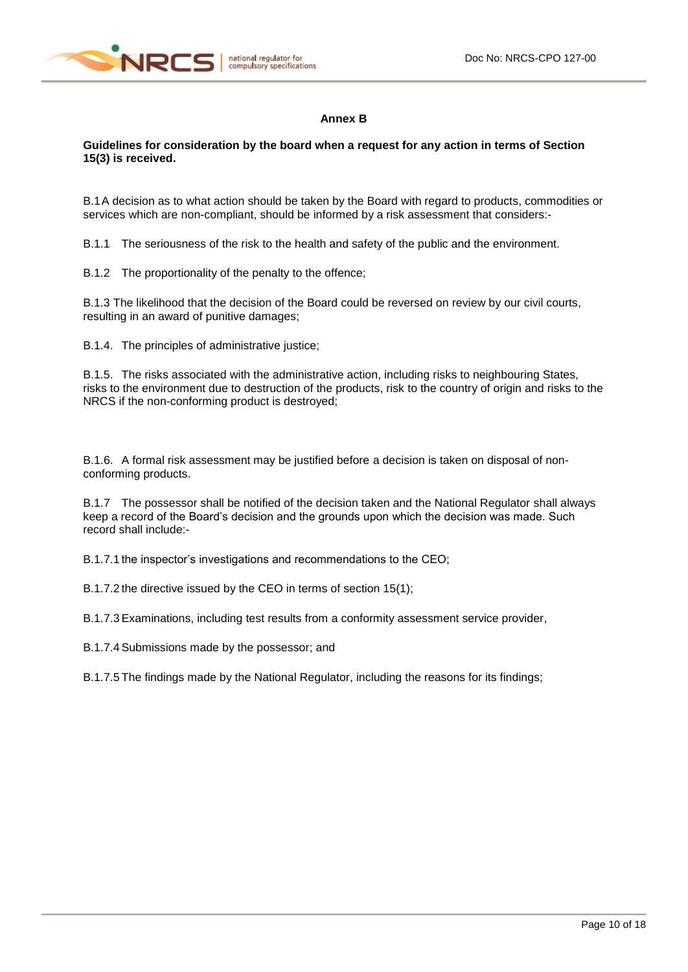

# **Annex B**

**Guidelines for consideration by the board when a request for any action in terms of Section 15(3) is received.**

B.1A decision as to what action should be taken by the Board with regard to products, commodities or services which are non-compliant, should be informed by a risk assessment that considers:-

B.1.1 The seriousness of the risk to the health and safety of the public and the environment.

B.1.2 The proportionality of the penalty to the offence;

B.1.3 The likelihood that the decision of the Board could be reversed on review by our civil courts, resulting in an award of punitive damages;

B.1.4. The principles of administrative justice;

B.1.5. The risks associated with the administrative action, including risks to neighbouring States, risks to the environment due to destruction of the products, risk to the country of origin and risks to the NRCS if the non-conforming product is destroyed;

B.1.6. A formal risk assessment may be justified before a decision is taken on disposal of nonconforming products.

B.1.7 The possessor shall be notified of the decision taken and the National Regulator shall always keep a record of the Board's decision and the grounds upon which the decision was made. Such record shall include:-

B.1.7.1 the inspector's investigations and recommendations to the CEO;

B.1.7.2 the directive issued by the CEO in terms of section 15(1);

B.1.7.3Examinations, including test results from a conformity assessment service provider,

B.1.7.4Submissions made by the possessor; and

B.1.7.5 The findings made by the National Regulator, including the reasons for its findings;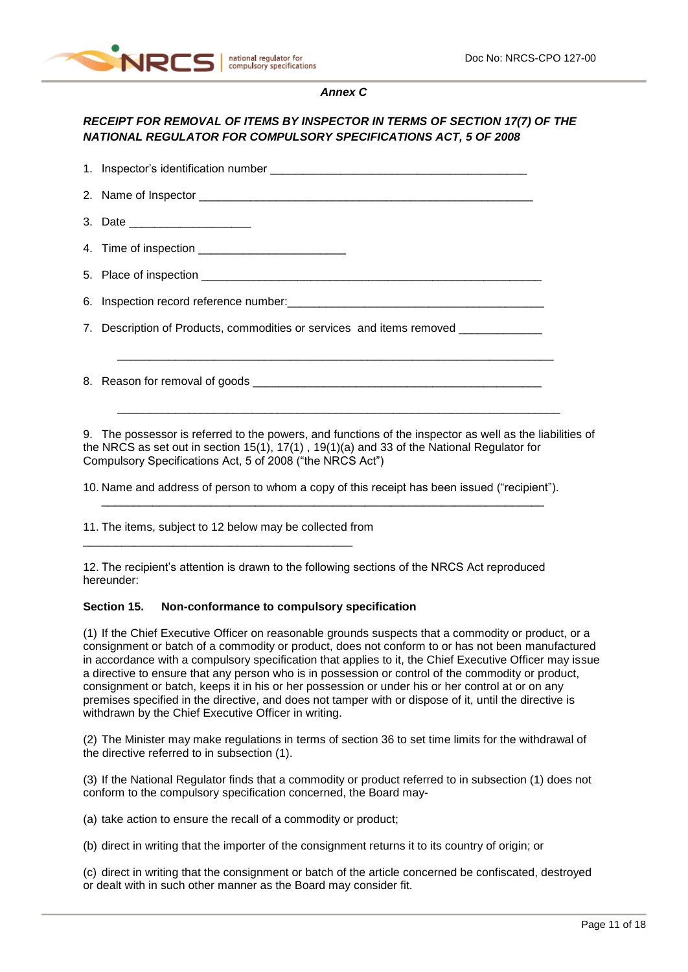

### *Annex C*

# *RECEIPT FOR REMOVAL OF ITEMS BY INSPECTOR IN TERMS OF SECTION 17(7) OF THE NATIONAL REGULATOR FOR COMPULSORY SPECIFICATIONS ACT, 5 OF 2008*

1. Inspector's identification number 2. Name of Inspector \_\_\_\_\_\_\_\_\_\_\_\_\_\_\_\_\_\_\_\_\_\_\_\_\_\_\_\_\_\_\_\_\_\_\_\_\_\_\_\_\_\_\_\_\_\_\_\_\_\_\_\_ 3. Date 4. Time of inspection 5. Place of inspection 6. Inspection record reference number: 7. Description of Products, commodities or services and items removed  $\overline{\phantom{a}}$  ,  $\overline{\phantom{a}}$  ,  $\overline{\phantom{a}}$  ,  $\overline{\phantom{a}}$  ,  $\overline{\phantom{a}}$  ,  $\overline{\phantom{a}}$  ,  $\overline{\phantom{a}}$  ,  $\overline{\phantom{a}}$  ,  $\overline{\phantom{a}}$  ,  $\overline{\phantom{a}}$  ,  $\overline{\phantom{a}}$  ,  $\overline{\phantom{a}}$  ,  $\overline{\phantom{a}}$  ,  $\overline{\phantom{a}}$  ,  $\overline{\phantom{a}}$  ,  $\overline{\phantom{a}}$ 8. Reason for removal of goods  $\overline{\phantom{a}}$  ,  $\overline{\phantom{a}}$  ,  $\overline{\phantom{a}}$  ,  $\overline{\phantom{a}}$  ,  $\overline{\phantom{a}}$  ,  $\overline{\phantom{a}}$  ,  $\overline{\phantom{a}}$  ,  $\overline{\phantom{a}}$  ,  $\overline{\phantom{a}}$  ,  $\overline{\phantom{a}}$  ,  $\overline{\phantom{a}}$  ,  $\overline{\phantom{a}}$  ,  $\overline{\phantom{a}}$  ,  $\overline{\phantom{a}}$  ,  $\overline{\phantom{a}}$  ,  $\overline{\phantom{a}}$ 9. The possessor is referred to the powers, and functions of the inspector as well as the liabilities of

the NRCS as set out in section 15(1), 17(1) , 19(1)(a) and 33 of the National Regulator for Compulsory Specifications Act, 5 of 2008 ("the NRCS Act")

10. Name and address of person to whom a copy of this receipt has been issued ("recipient"). \_\_\_\_\_\_\_\_\_\_\_\_\_\_\_\_\_\_\_\_\_\_\_\_\_\_\_\_\_\_\_\_\_\_\_\_\_\_\_\_\_\_\_\_\_\_\_\_\_\_\_\_\_\_\_\_\_\_\_\_\_\_\_\_\_\_\_\_\_

11. The items, subject to [12](#page-10-0) below may be collected from

\_\_\_\_\_\_\_\_\_\_\_\_\_\_\_\_\_\_\_\_\_\_\_\_\_\_\_\_\_\_\_\_\_\_\_\_\_\_\_\_\_\_

<span id="page-10-0"></span>12. The recipient's attention is drawn to the following sections of the NRCS Act reproduced hereunder:

#### **Section 15. Non-conformance to compulsory specification**

(1) If the Chief Executive Officer on reasonable grounds suspects that a commodity or product, or a consignment or batch of a commodity or product, does not conform to or has not been manufactured in accordance with a compulsory specification that applies to it, the Chief Executive Officer may issue a directive to ensure that any person who is in possession or control of the commodity or product, consignment or batch, keeps it in his or her possession or under his or her control at or on any premises specified in the directive, and does not tamper with or dispose of it, until the directive is withdrawn by the Chief Executive Officer in writing.

(2) The Minister may make regulations in terms of section 36 to set time limits for the withdrawal of the directive referred to in subsection (1).

(3) If the National Regulator finds that a commodity or product referred to in subsection (1) does not conform to the compulsory specification concerned, the Board may-

(a) take action to ensure the recall of a commodity or product;

(b) direct in writing that the importer of the consignment returns it to its country of origin; or

(c) direct in writing that the consignment or batch of the article concerned be confiscated, destroyed or dealt with in such other manner as the Board may consider fit.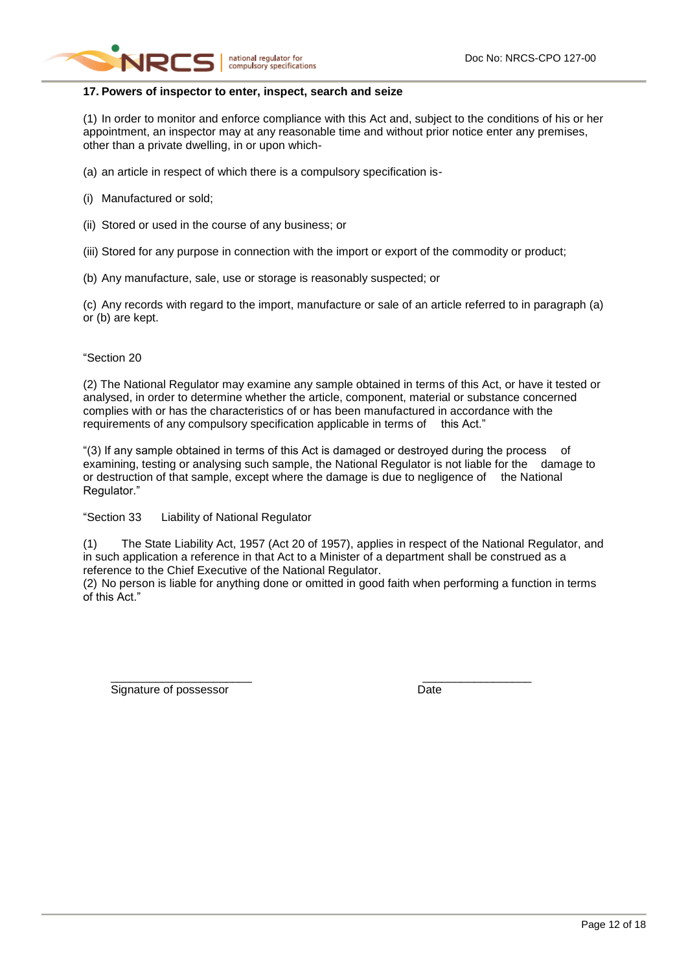

## **17. Powers of inspector to enter, inspect, search and seize**

(1) In order to monitor and enforce compliance with this Act and, subject to the conditions of his or her appointment, an inspector may at any reasonable time and without prior notice enter any premises, other than a private dwelling, in or upon which-

(a) an article in respect of which there is a compulsory specification is-

- (i) Manufactured or sold;
- (ii) Stored or used in the course of any business; or
- (iii) Stored for any purpose in connection with the import or export of the commodity or product;
- (b) Any manufacture, sale, use or storage is reasonably suspected; or

(c) Any records with regard to the import, manufacture or sale of an article referred to in paragraph (a) or (b) are kept.

### "Section 20

(2) The National Regulator may examine any sample obtained in terms of this Act, or have it tested or analysed, in order to determine whether the article, component, material or substance concerned complies with or has the characteristics of or has been manufactured in accordance with the requirements of any compulsory specification applicable in terms of this Act."

"(3) If any sample obtained in terms of this Act is damaged or destroyed during the process of examining, testing or analysing such sample, the National Regulator is not liable for the damage to or destruction of that sample, except where the damage is due to negligence of the National Regulator."

"Section 33 Liability of National Regulator

(1) The State Liability Act, 1957 (Act 20 of 1957), applies in respect of the National Regulator, and in such application a reference in that Act to a Minister of a department shall be construed as a reference to the Chief Executive of the National Regulator.

(2) No person is liable for anything done or omitted in good faith when performing a function in terms of this Act."

\_\_\_\_\_\_\_\_\_\_\_\_\_\_\_\_\_\_\_\_\_\_ \_\_\_\_\_\_\_\_\_\_\_\_\_\_\_\_\_

Signature of possessor and a state of possessor and a state of possessor and a state of  $\Box$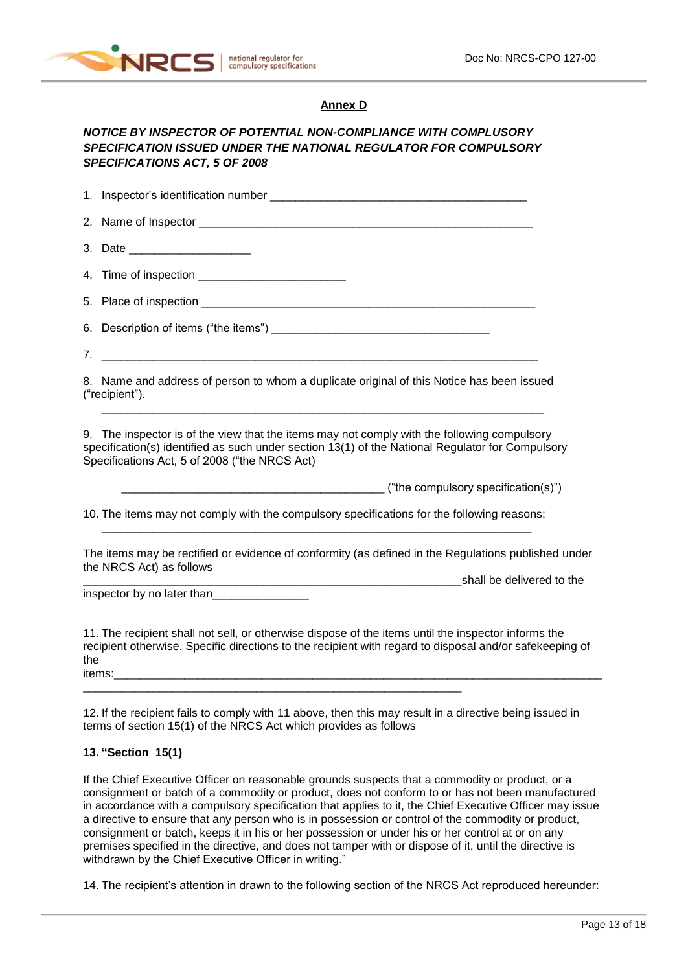

### **Annex D**

# *NOTICE BY INSPECTOR OF POTENTIAL NON-COMPLIANCE WITH COMPLUSORY SPECIFICATION ISSUED UNDER THE NATIONAL REGULATOR FOR COMPULSORY SPECIFICATIONS ACT, 5 OF 2008*

1. Inspector's identification number 2. Name of Inspector 3. Date 4. Time of inspection **Example 20** 5. Place of inspection \_\_\_\_\_\_\_\_\_\_\_\_\_\_\_\_\_\_\_\_\_\_\_\_\_\_\_\_\_\_\_\_\_\_\_\_\_\_\_\_\_\_\_\_\_\_\_\_\_\_\_\_ 6. Description of items ("the items") \_\_\_\_\_\_\_\_\_\_\_\_\_\_\_\_\_\_\_\_\_\_\_\_\_\_\_\_\_\_\_\_\_\_ 7. \_\_\_\_\_\_\_\_\_\_\_\_\_\_\_\_\_\_\_\_\_\_\_\_\_\_\_\_\_\_\_\_\_\_\_\_\_\_\_\_\_\_\_\_\_\_\_\_\_\_\_\_\_\_\_\_\_\_\_\_\_\_\_\_\_\_\_\_ 8. Name and address of person to whom a duplicate original of this Notice has been issued ("recipient"). \_\_\_\_\_\_\_\_\_\_\_\_\_\_\_\_\_\_\_\_\_\_\_\_\_\_\_\_\_\_\_\_\_\_\_\_\_\_\_\_\_\_\_\_\_\_\_\_\_\_\_\_\_\_\_\_\_\_\_\_\_\_\_\_\_\_\_\_\_ 9. The inspector is of the view that the items may not comply with the following compulsory specification(s) identified as such under section 13(1) of the National Regulator for Compulsory Specifications Act, 5 of 2008 ("the NRCS Act) ("the compulsory specification(s)") 10. The items may not comply with the compulsory specifications for the following reasons:  $\Box$ 

The items may be rectified or evidence of conformity (as defined in the Regulations published under the NRCS Act) as follows definition of the shall be delivered to the shall be delivered to the state of the state of the state of the s

inspector by no later than

<span id="page-12-0"></span>11. The recipient shall not sell, or otherwise dispose of the items until the inspector informs the recipient otherwise. Specific directions to the recipient with regard to disposal and/or safekeeping of the items:\_\_\_\_\_\_\_\_\_\_\_\_\_\_\_\_\_\_\_\_\_\_\_\_\_\_\_\_\_\_\_\_\_\_\_\_\_\_\_\_\_\_\_\_\_\_\_\_\_\_\_\_\_\_\_\_\_\_\_\_\_\_\_\_\_\_\_\_\_\_\_\_\_\_\_\_

12. If the recipient fails to comply with [11](#page-12-0) above, then this may result in a directive being issued in terms of section 15(1) of the NRCS Act which provides as follows

\_\_\_\_\_\_\_\_\_\_\_\_\_\_\_\_\_\_\_\_\_\_\_\_\_\_\_\_\_\_\_\_\_\_\_\_\_\_\_\_\_\_\_\_\_\_\_\_\_\_\_\_\_\_\_\_\_\_\_

#### **13. "Section 15(1)**

If the Chief Executive Officer on reasonable grounds suspects that a commodity or product, or a consignment or batch of a commodity or product, does not conform to or has not been manufactured in accordance with a compulsory specification that applies to it, the Chief Executive Officer may issue a directive to ensure that any person who is in possession or control of the commodity or product, consignment or batch, keeps it in his or her possession or under his or her control at or on any premises specified in the directive, and does not tamper with or dispose of it, until the directive is withdrawn by the Chief Executive Officer in writing."

14. The recipient's attention in drawn to the following section of the NRCS Act reproduced hereunder: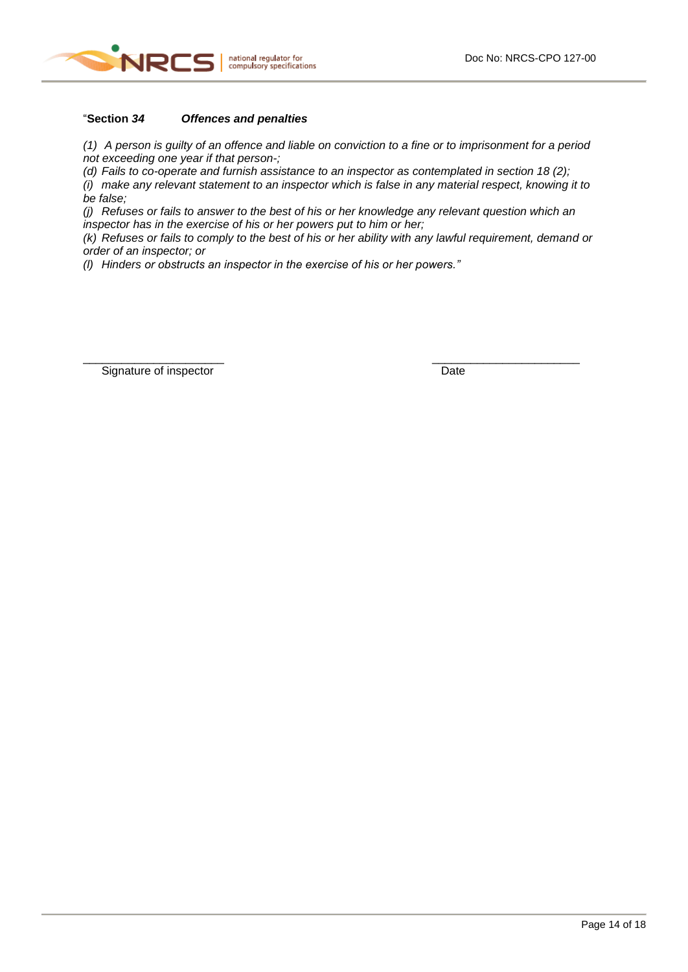

# "**Section** *34 Offences and penalties*

*(1) A person is guilty of an offence and liable on conviction to a fine or to imprisonment for a period not exceeding one year if that person-;*

*(d) Fails to co-operate and furnish assistance to an inspector as contemplated in section 18 (2);*

*(i) make any relevant statement to an inspector which is false in any material respect, knowing it to be false;*

*(j) Refuses or fails to answer to the best of his or her knowledge any relevant question which an inspector has in the exercise of his or her powers put to him or her;*

\_\_\_\_\_\_\_\_\_\_\_\_\_\_\_\_\_\_\_\_\_\_ \_\_\_\_\_\_\_\_\_\_\_\_\_\_\_\_\_\_\_\_\_\_\_

*(k) Refuses or fails to comply to the best of his or her ability with any lawful requirement, demand or order of an inspector; or*

*(l) Hinders or obstructs an inspector in the exercise of his or her powers."*

Signature of inspector Date Date Date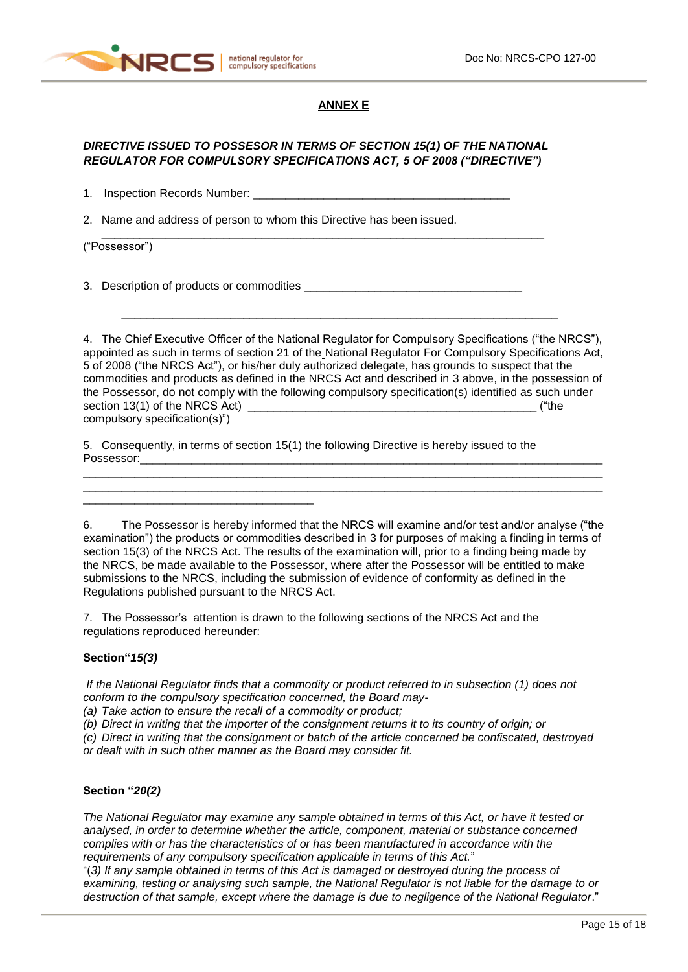

### **ANNEX E**

# *DIRECTIVE ISSUED TO POSSESOR IN TERMS OF SECTION 15(1) OF THE NATIONAL REGULATOR FOR COMPULSORY SPECIFICATIONS ACT, 5 OF 2008 ("DIRECTIVE")*

\_\_\_\_\_\_\_\_\_\_\_\_\_\_\_\_\_\_\_\_\_\_\_\_\_\_\_\_\_\_\_\_\_\_\_\_\_\_\_\_\_\_\_\_\_\_\_\_\_\_\_\_\_\_\_\_\_\_\_\_\_\_\_\_\_\_\_\_\_

1. Inspection Records Number: \_\_\_\_

2. Name and address of person to whom this Directive has been issued.

("Possessor")

3. Description of products or commodities

\_\_\_\_\_\_\_\_\_\_\_\_\_\_\_\_\_\_\_\_\_\_\_\_\_\_\_\_\_\_\_\_\_\_\_\_

4. The Chief Executive Officer of the National Regulator for Compulsory Specifications ("the NRCS"), appointed as such in terms of section 21 of the National Regulator For Compulsory Specifications Act, 5 of 2008 ("the NRCS Act"), or his/her duly authorized delegate, has grounds to suspect that the commodities and products as defined in the NRCS Act and described in 3 above, in the possession of the Possessor, do not comply with the following compulsory specification(s) identified as such under section 13(1) of the NRCS Act) \_\_\_\_\_\_\_\_\_\_\_\_\_\_\_\_\_\_\_\_\_\_\_\_\_\_\_\_\_\_\_\_\_\_\_\_\_\_\_\_\_\_\_\_\_ ("the compulsory specification(s)")

\_\_\_\_\_\_\_\_\_\_\_\_\_\_\_\_\_\_\_\_\_\_\_\_\_\_\_\_\_\_\_\_\_\_\_\_\_\_\_\_\_\_\_\_\_\_\_\_\_\_\_\_\_\_\_\_\_\_\_\_\_\_\_\_\_\_\_\_

5. Consequently, in terms of section 15(1) the following Directive is hereby issued to the Possessor:

6. The Possessor is hereby informed that the NRCS will examine and/or test and/or analyse ("the examination") the products or commodities described in 3 for purposes of making a finding in terms of section 15(3) of the NRCS Act. The results of the examination will, prior to a finding being made by the NRCS, be made available to the Possessor, where after the Possessor will be entitled to make submissions to the NRCS, including the submission of evidence of conformity as defined in the Regulations published pursuant to the NRCS Act.

\_\_\_\_\_\_\_\_\_\_\_\_\_\_\_\_\_\_\_\_\_\_\_\_\_\_\_\_\_\_\_\_\_\_\_\_\_\_\_\_\_\_\_\_\_\_\_\_\_\_\_\_\_\_\_\_\_\_\_\_\_\_\_\_\_\_\_\_\_\_\_\_\_\_\_\_\_\_\_\_\_ \_\_\_\_\_\_\_\_\_\_\_\_\_\_\_\_\_\_\_\_\_\_\_\_\_\_\_\_\_\_\_\_\_\_\_\_\_\_\_\_\_\_\_\_\_\_\_\_\_\_\_\_\_\_\_\_\_\_\_\_\_\_\_\_\_\_\_\_\_\_\_\_\_\_\_\_\_\_\_\_\_

7. The Possessor's attention is drawn to the following sections of the NRCS Act and the regulations reproduced hereunder:

#### **Section"***15(3)*

*If the National Regulator finds that a commodity or product referred to in subsection (1) does not conform to the compulsory specification concerned, the Board may-*

*(a) Take action to ensure the recall of a commodity or product;*

*(b) Direct in writing that the importer of the consignment returns it to its country of origin; or*

*(c) Direct in writing that the consignment or batch of the article concerned be confiscated, destroyed or dealt with in such other manner as the Board may consider fit.*

#### **Section "***20(2)*

*The National Regulator may examine any sample obtained in terms of this Act, or have it tested or analysed, in order to determine whether the article, component, material or substance concerned complies with or has the characteristics of or has been manufactured in accordance with the requirements of any compulsory specification applicable in terms of this Act.*"

"(*3) If any sample obtained in terms of this Act is damaged or destroyed during the process of examining, testing or analysing such sample, the National Regulator is not liable for the damage to or destruction of that sample, except where the damage is due to negligence of the National Regulator*."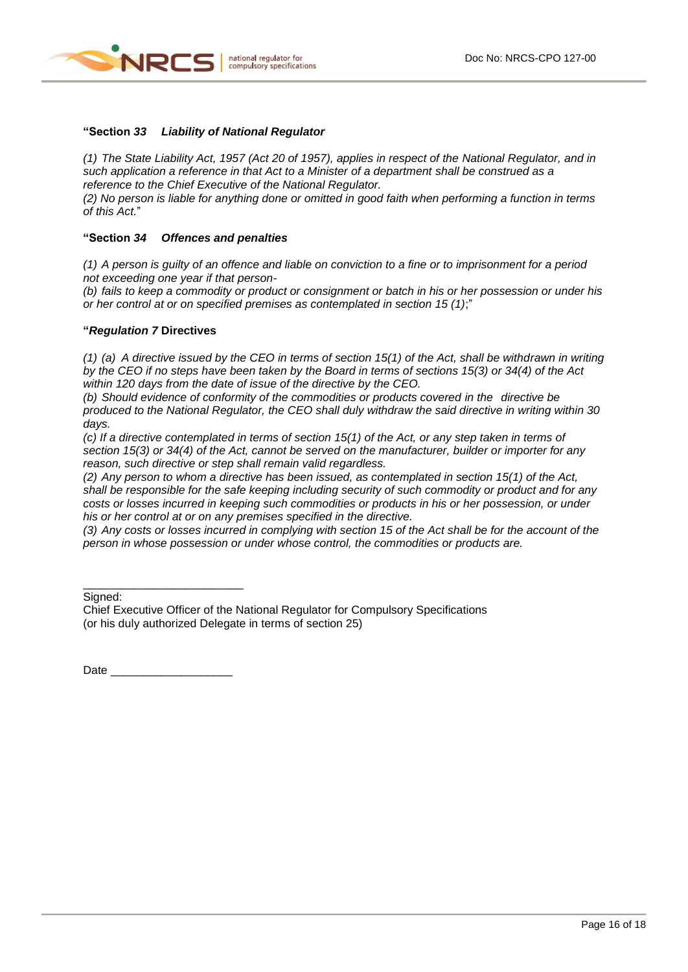

#### **"Section** *33 Liability of National Regulator*

*(1) The State Liability Act, 1957 (Act 20 of 1957), applies in respect of the National Regulator, and in such application a reference in that Act to a Minister of a department shall be construed as a reference to the Chief Executive of the National Regulator.*

*(2) No person is liable for anything done or omitted in good faith when performing a function in terms of this Act.*"

### **"Section** *34 Offences and penalties*

*(1) A person is guilty of an offence and liable on conviction to a fine or to imprisonment for a period not exceeding one year if that person-*

*(b) fails to keep a commodity or product or consignment or batch in his or her possession or under his or her control at or on specified premises as contemplated in section 15 (1)*;"

#### **"***Regulation 7* **Directives**

*(1) (a) A directive issued by the CEO in terms of section 15(1) of the Act, shall be withdrawn in writing by the CEO if no steps have been taken by the Board in terms of sections 15(3) or 34(4) of the Act within 120 days from the date of issue of the directive by the CEO.*

*(b) Should evidence of conformity of the commodities or products covered in the directive be produced to the National Regulator, the CEO shall duly withdraw the said directive in writing within 30 days.*

*(c) If a directive contemplated in terms of section 15(1) of the Act, or any step taken in terms of section 15(3) or 34(4) of the Act, cannot be served on the manufacturer, builder or importer for any reason, such directive or step shall remain valid regardless.*

*(2) Any person to whom a directive has been issued, as contemplated in section 15(1) of the Act, shall be responsible for the safe keeping including security of such commodity or product and for any costs or losses incurred in keeping such commodities or products in his or her possession, or under his or her control at or on any premises specified in the directive.*

*(3) Any costs or losses incurred in complying with section 15 of the Act shall be for the account of the person in whose possession or under whose control, the commodities or products are.*

Signed:

Chief Executive Officer of the National Regulator for Compulsory Specifications (or his duly authorized Delegate in terms of section 25)

Date

\_\_\_\_\_\_\_\_\_\_\_\_\_\_\_\_\_\_\_\_\_\_\_\_\_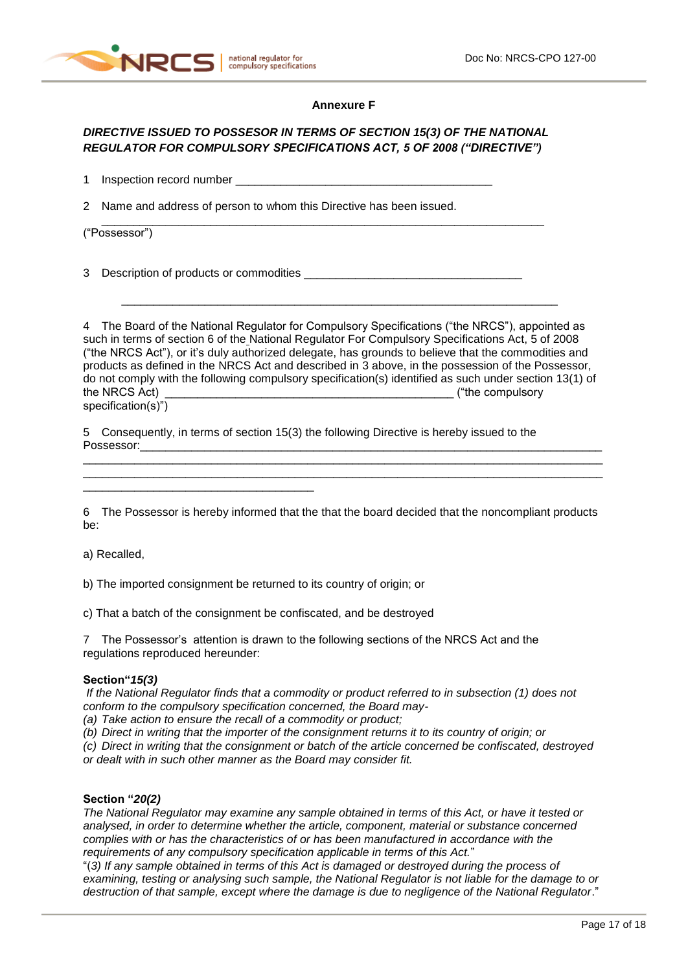

#### **Annexure F**

# *DIRECTIVE ISSUED TO POSSESOR IN TERMS OF SECTION 15(3) OF THE NATIONAL REGULATOR FOR COMPULSORY SPECIFICATIONS ACT, 5 OF 2008 ("DIRECTIVE")*

\_\_\_\_\_\_\_\_\_\_\_\_\_\_\_\_\_\_\_\_\_\_\_\_\_\_\_\_\_\_\_\_\_\_\_\_\_\_\_\_\_\_\_\_\_\_\_\_\_\_\_\_\_\_\_\_\_\_\_\_\_\_\_\_\_\_\_\_\_

1 Inspection record number \_\_\_\_\_\_\_\_\_\_\_\_\_\_\_\_\_\_\_\_\_\_\_\_\_\_\_\_\_\_\_\_\_\_\_\_\_\_\_\_

2 Name and address of person to whom this Directive has been issued.

("Possessor")

3 Description of products or commodities

\_\_\_\_\_\_\_\_\_\_\_\_\_\_\_\_\_\_\_\_\_\_\_\_\_\_\_\_\_\_\_\_\_\_\_\_

4 The Board of the National Regulator for Compulsory Specifications ("the NRCS"), appointed as such in terms of section 6 of the National Regulator For Compulsory Specifications Act, 5 of 2008 ("the NRCS Act"), or it's duly authorized delegate, has grounds to believe that the commodities and products as defined in the NRCS Act and described in 3 above, in the possession of the Possessor, do not comply with the following compulsory specification(s) identified as such under section 13(1) of the NRCS Act) the NRCS Act and the NRCS Act and the NRCS Act and the set of the compulsory ("the compulsory specification(s)")

\_\_\_\_\_\_\_\_\_\_\_\_\_\_\_\_\_\_\_\_\_\_\_\_\_\_\_\_\_\_\_\_\_\_\_\_\_\_\_\_\_\_\_\_\_\_\_\_\_\_\_\_\_\_\_\_\_\_\_\_\_\_\_\_\_\_\_\_

5 Consequently, in terms of section 15(3) the following Directive is hereby issued to the Possessor:

6 The Possessor is hereby informed that the that the board decided that the noncompliant products be:

\_\_\_\_\_\_\_\_\_\_\_\_\_\_\_\_\_\_\_\_\_\_\_\_\_\_\_\_\_\_\_\_\_\_\_\_\_\_\_\_\_\_\_\_\_\_\_\_\_\_\_\_\_\_\_\_\_\_\_\_\_\_\_\_\_\_\_\_\_\_\_\_\_\_\_\_\_\_\_\_\_ \_\_\_\_\_\_\_\_\_\_\_\_\_\_\_\_\_\_\_\_\_\_\_\_\_\_\_\_\_\_\_\_\_\_\_\_\_\_\_\_\_\_\_\_\_\_\_\_\_\_\_\_\_\_\_\_\_\_\_\_\_\_\_\_\_\_\_\_\_\_\_\_\_\_\_\_\_\_\_\_\_

a) Recalled,

b) The imported consignment be returned to its country of origin; or

c) That a batch of the consignment be confiscated, and be destroyed

7 The Possessor's attention is drawn to the following sections of the NRCS Act and the regulations reproduced hereunder:

#### **Section"***15(3)*

*If the National Regulator finds that a commodity or product referred to in subsection (1) does not conform to the compulsory specification concerned, the Board may-*

*(a) Take action to ensure the recall of a commodity or product;*

*(b) Direct in writing that the importer of the consignment returns it to its country of origin; or*

*(c) Direct in writing that the consignment or batch of the article concerned be confiscated, destroyed or dealt with in such other manner as the Board may consider fit.*

## **Section "***20(2)*

*The National Regulator may examine any sample obtained in terms of this Act, or have it tested or analysed, in order to determine whether the article, component, material or substance concerned complies with or has the characteristics of or has been manufactured in accordance with the requirements of any compulsory specification applicable in terms of this Act.*"

"(*3) If any sample obtained in terms of this Act is damaged or destroyed during the process of examining, testing or analysing such sample, the National Regulator is not liable for the damage to or destruction of that sample, except where the damage is due to negligence of the National Regulator*."